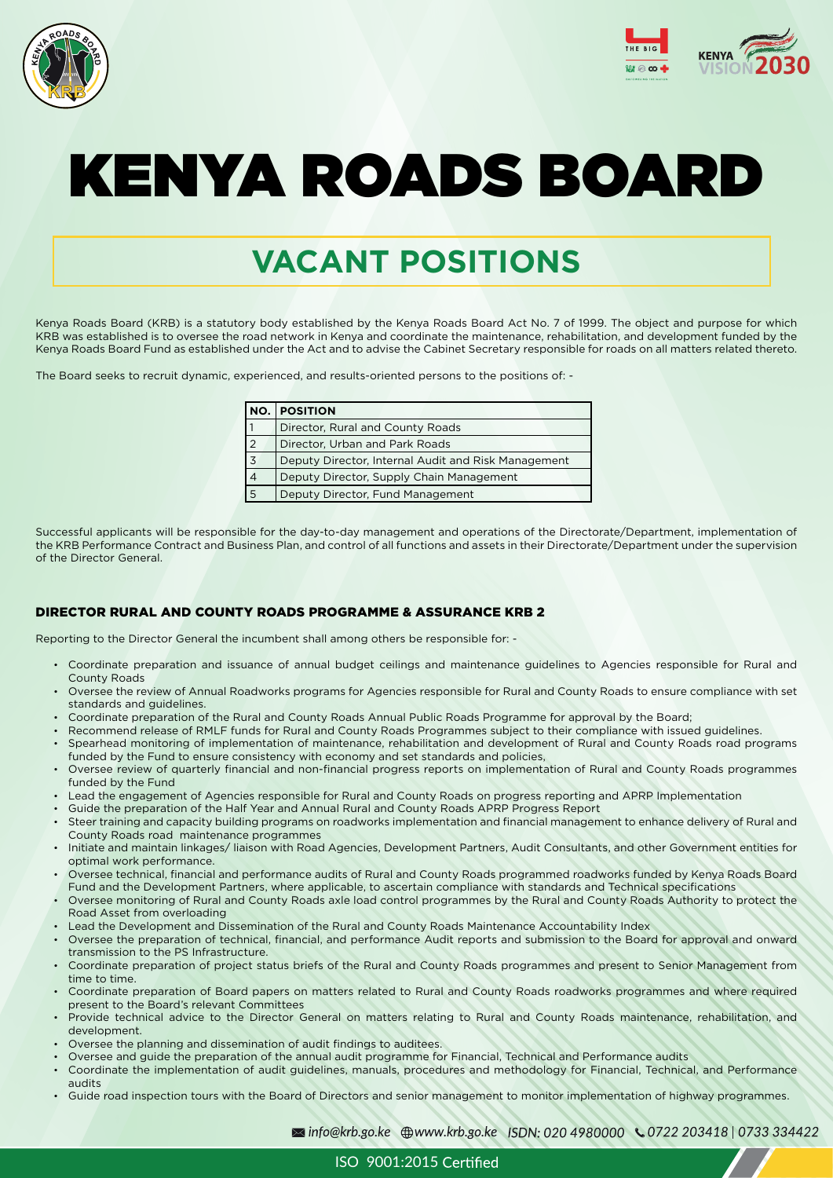ISO 9001:2015





# KENYA ROADS BOARD

# **VACANT POSITIONS**

Kenya Roads Board (KRB) is a statutory body established by the Kenya Roads Board Act No. 7 of 1999. The object and purpose for which KRB was established is to oversee the road network in Kenya and coordinate the maintenance, rehabilitation, and development funded by the Kenya Roads Board Fund as established under the Act and to advise the Cabinet Secretary responsible for roads on all matters related thereto.

The Board seeks to recruit dynamic, experienced, and results-oriented persons to the positions of: -

Successful applicants will be responsible for the day-to-day management and operations of the Directorate/Department, implementation of the KRB Performance Contract and Business Plan, and control of all functions and assets in their Directorate/Department under the supervision of the Director General.

# DIRECTOR RURAL AND COUNTY ROADS PROGRAMME & ASSURANCE KRB 2

Reporting to the Director General the incumbent shall among others be responsible for: -

- Coordinate preparation and issuance of annual budget ceilings and maintenance guidelines to Agencies responsible for Rural and County Roads
- Oversee the review of Annual Roadworks programs for Agencies responsible for Rural and County Roads to ensure compliance with set standards and guidelines.
- Coordinate preparation of the Rural and County Roads Annual Public Roads Programme for approval by the Board;
- Recommend release of RMLF funds for Rural and County Roads Programmes subject to their compliance with issued guidelines.
- Spearhead monitoring of implementation of maintenance, rehabilitation and development of Rural and County Roads road programs funded by the Fund to ensure consistency with economy and set standards and policies,
- Oversee review of quarterly financial and non-financial progress reports on implementation of Rural and County Roads programmes funded by the Fund
- Lead the engagement of Agencies responsible for Rural and County Roads on progress reporting and APRP Implementation
- Guide the preparation of the Half Year and Annual Rural and County Roads APRP Progress Report
- Steer training and capacity building programs on roadworks implementation and financial management to enhance delivery of Rural and County Roads road maintenance programmes
- Initiate and maintain linkages/ liaison with Road Agencies, Development Partners, Audit Consultants, and other Government entities for optimal work performance.
- Oversee technical, financial and performance audits of Rural and County Roads programmed roadworks funded by Kenya Roads Board Fund and the Development Partners, where applicable, to ascertain compliance with standards and Technical specifications
- 
- Oversee monitoring of Rural and County Roads axle load control programmes by the Rural and County Roads Authority to protect the Road Asset from overloading
- Lead the Development and Dissemination of the Rural and County Roads Maintenance Accountability Index
- Oversee the preparation of technical, financial, and performance Audit reports and submission to the Board for approval and onward transmission to the PS Infrastructure.
- Coordinate preparation of project status briefs of the Rural and County Roads programmes and present to Senior Management from time to time.
- Coordinate preparation of Board papers on matters related to Rural and County Roads roadworks programmes and where required present to the Board's relevant Committees
- Provide technical advice to the Director General on matters relating to Rural and County Roads maintenance, rehabilitation, and development.
- Oversee the planning and dissemination of audit findings to auditees.
- Oversee and guide the preparation of the annual audit programme for Financial, Technical and Performance audits
- Coordinate the implementation of audit guidelines, manuals, procedures and methodology for Financial, Technical, and Performance audits
- Guide road inspection tours with the Board of Directors and senior management to monitor implementation of highway programmes.

| NO.            | <b>POSITION</b>                                     |
|----------------|-----------------------------------------------------|
|                | Director, Rural and County Roads                    |
| $\overline{2}$ | Director, Urban and Park Roads                      |
| $\overline{3}$ | Deputy Director, Internal Audit and Risk Management |
| $\overline{4}$ | Deputy Director, Supply Chain Management            |
| $\sqrt{5}$     | Deputy Director, Fund Management                    |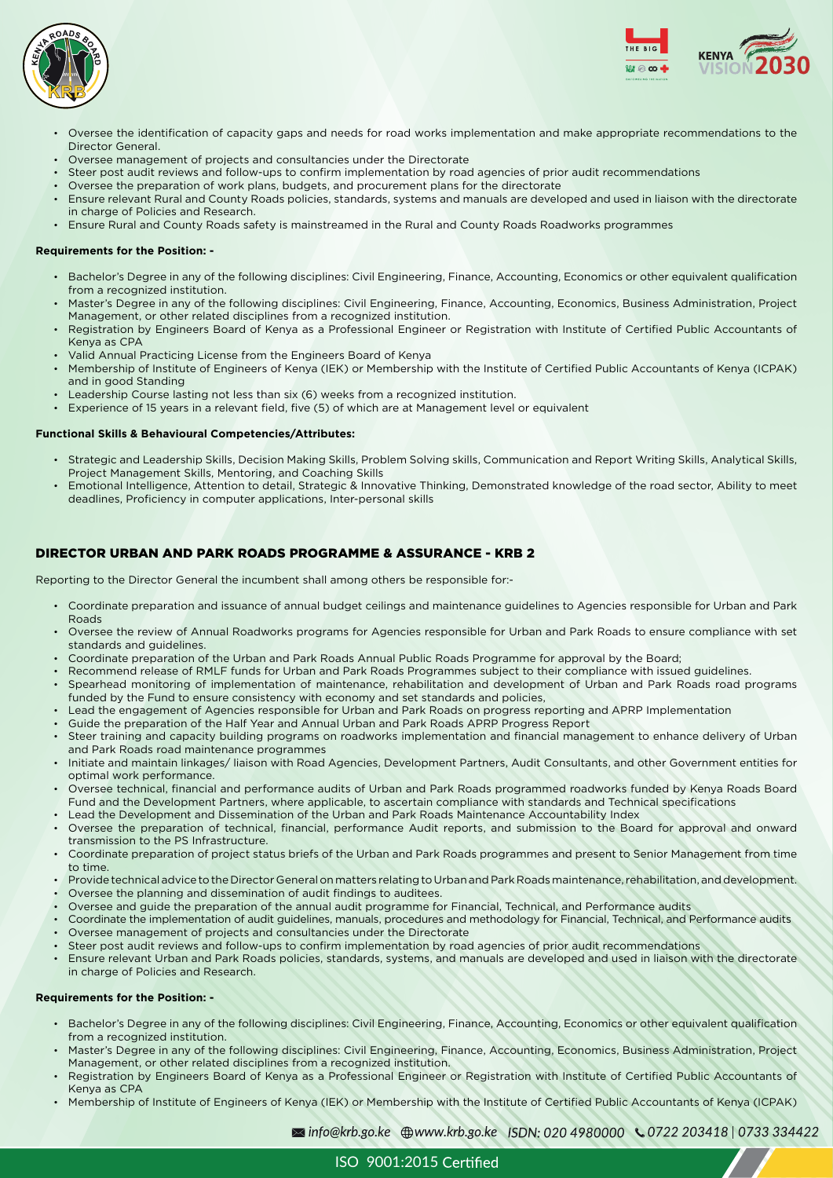



- Oversee the identification of capacity gaps and needs for road works implementation and make appropriate recommendations to the Director General.
- Oversee management of projects and consultancies under the Directorate
- Steer post audit reviews and follow-ups to confirm implementation by road agencies of prior audit recommendations
- Oversee the preparation of work plans, budgets, and procurement plans for the directorate
- Ensure relevant Rural and County Roads policies, standards, systems and manuals are developed and used in liaison with the directorate in charge of Policies and Research.
- Ensure Rural and County Roads safety is mainstreamed in the Rural and County Roads Roadworks programmes

#### **Requirements for the Position: -**

- Bachelor's Degree in any of the following disciplines: Civil Engineering, Finance, Accounting, Economics or other equivalent qualification from a recognized institution.
- Master's Degree in any of the following disciplines: Civil Engineering, Finance, Accounting, Economics, Business Administration, Project Management, or other related disciplines from a recognized institution.
- Registration by Engineers Board of Kenya as a Professional Engineer or Registration with Institute of Certified Public Accountants of Kenya as CPA
- Valid Annual Practicing License from the Engineers Board of Kenya
- Membership of Institute of Engineers of Kenya (IEK) or Membership with the Institute of Certified Public Accountants of Kenya (ICPAK) and in good Standing
- Leadership Course lasting not less than six (6) weeks from a recognized institution.
- Experience of 15 years in a relevant field, five (5) of which are at Management level or equivalent

#### **Functional Skills & Behavioural Competencies/Attributes:**

- Strategic and Leadership Skills, Decision Making Skills, Problem Solving skills, Communication and Report Writing Skills, Analytical Skills, Project Management Skills, Mentoring, and Coaching Skills
- Emotional Intelligence, Attention to detail, Strategic & Innovative Thinking, Demonstrated knowledge of the road sector, Ability to meet deadlines, Proficiency in computer applications, Inter-personal skills

# DIRECTOR URBAN AND PARK ROADS PROGRAMME & ASSURANCE - KRB 2

Reporting to the Director General the incumbent shall among others be responsible for:-

- Coordinate preparation and issuance of annual budget ceilings and maintenance guidelines to Agencies responsible for Urban and Park Roads
- Oversee the review of Annual Roadworks programs for Agencies responsible for Urban and Park Roads to ensure compliance with set standards and guidelines.
- Coordinate preparation of the Urban and Park Roads Annual Public Roads Programme for approval by the Board;
- Recommend release of RMLF funds for Urban and Park Roads Programmes subject to their compliance with issued guidelines.
- Spearhead monitoring of implementation of maintenance, rehabilitation and development of Urban and Park Roads road programs funded by the Fund to ensure consistency with economy and set standards and policies,
- Lead the engagement of Agencies responsible for Urban and Park Roads on progress reporting and APRP Implementation
- Guide the preparation of the Half Year and Annual Urban and Park Roads APRP Progress Report
- Steer training and capacity building programs on roadworks implementation and financial management to enhance delivery of Urban and Park Roads road maintenance programmes
- Initiate and maintain linkages/ liaison with Road Agencies, Development Partners, Audit Consultants, and other Government entities for optimal work performance.
- Oversee technical, financial and performance audits of Urban and Park Roads programmed roadworks funded by Kenya Roads Board Fund and the Development Partners, where applicable, to ascertain compliance with standards and Technical specifications
- Lead the Development and Dissemination of the Urban and Park Roads Maintenance Accountability Index
- Oversee the preparation of technical, financial, performance Audit reports, and submission to the Board for approval and onward transmission to the PS Infrastructure.
- Coordinate preparation of project status briefs of the Urban and Park Roads programmes and present to Senior Management from time to time.
- Provide technical advice to the Director General on matters relating to Urban and Park Roads maintenance, rehabilitation, and development.
- Oversee the planning and dissemination of audit findings to auditees.
- Oversee and guide the preparation of the annual audit programme for Financial, Technical, and Performance audits
- Coordinate the implementation of audit guidelines, manuals, procedures and methodology for Financial, Technical, and Performance audits
- Oversee management of projects and consultancies under the Directorate
- Steer post audit reviews and follow-ups to confirm implementation by road agencies of prior audit recommendations
- Ensure relevant Urban and Park Roads policies, standards, systems, and manuals are developed and used in liaison with the directorate in charge of Policies and Research.

#### **Requirements for the Position: -**

- Bachelor's Degree in any of the following disciplines: Civil Engineering, Finance, Accounting, Economics or other equivalent qualification from a recognized institution.
- Master's Degree in any of the following disciplines: Civil Engineering, Finance, Accounting, Economics, Business Administration, Project Management, or other related disciplines from a recognized institution.
- Registration by Engineers Board of Kenya as a Professional Engineer or Registration with Institute of Certified Public Accountants of Kenya as CPA
- Membership of Institute of Engineers of Kenya (IEK) or Membership with the Institute of Certified Public Accountants of Kenya (ICPAK)

ISO 9001:2015 Certified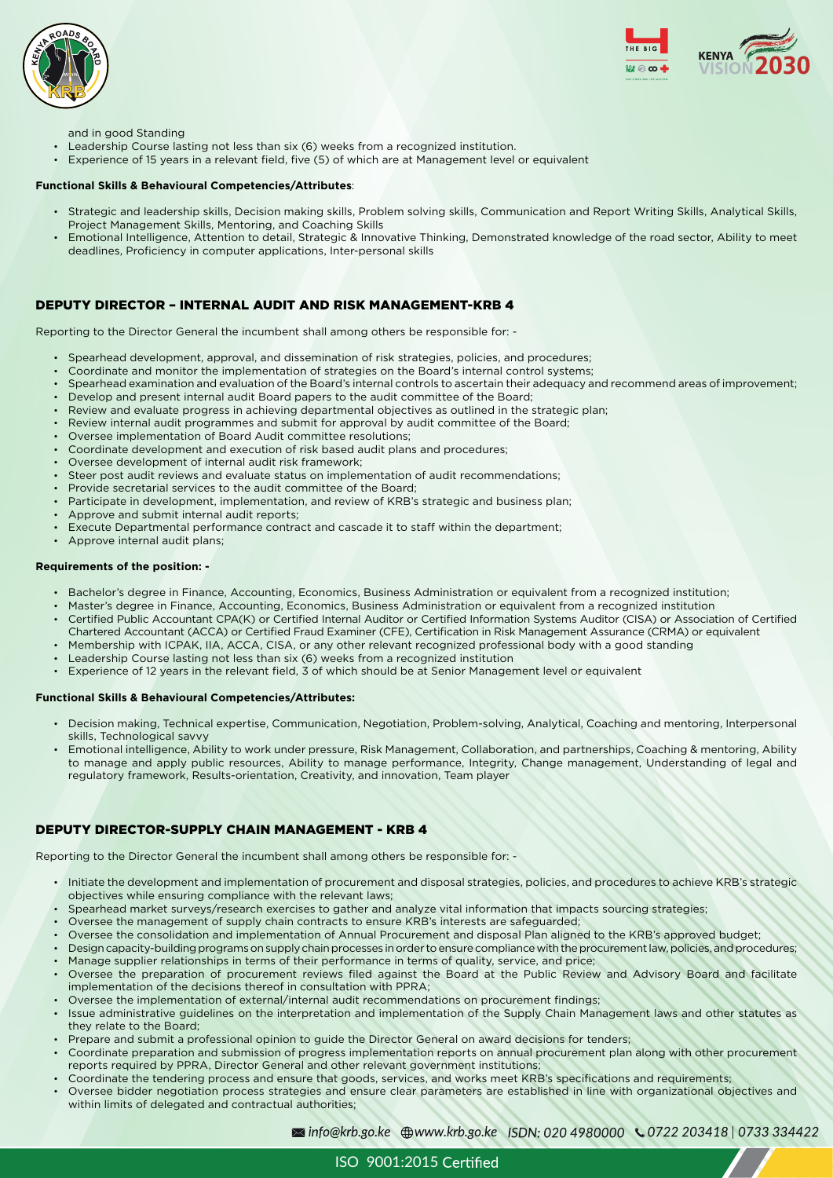ISO 9001:2015





and in good Standing

- Leadership Course lasting not less than six (6) weeks from a recognized institution.
- Experience of 15 years in a relevant field, five (5) of which are at Management level or equivalent

#### **Functional Skills & Behavioural Competencies/Attributes**:

- Strategic and leadership skills, Decision making skills, Problem solving skills, Communication and Report Writing Skills, Analytical Skills, Project Management Skills, Mentoring, and Coaching Skills
- Emotional Intelligence, Attention to detail, Strategic & Innovative Thinking, Demonstrated knowledge of the road sector, Ability to meet deadlines, Proficiency in computer applications, Inter-personal skills

# DEPUTY DIRECTOR – INTERNAL AUDIT AND RISK MANAGEMENT-KRB 4

Reporting to the Director General the incumbent shall among others be responsible for: -

- Spearhead development, approval, and dissemination of risk strategies, policies, and procedures;
- Coordinate and monitor the implementation of strategies on the Board's internal control systems;
- Spearhead examination and evaluation of the Board's internal controls to ascertain their adequacy and recommend areas of improvement;
- Develop and present internal audit Board papers to the audit committee of the Board;
- Review and evaluate progress in achieving departmental objectives as outlined in the strategic plan;
- Review internal audit programmes and submit for approval by audit committee of the Board;
- Oversee implementation of Board Audit committee resolutions;
- Coordinate development and execution of risk based audit plans and procedures;
- Oversee development of internal audit risk framework;
- Steer post audit reviews and evaluate status on implementation of audit recommendations;
- Provide secretarial services to the audit committee of the Board;
- Participate in development, implementation, and review of KRB's strategic and business plan;
- Approve and submit internal audit reports;
- Execute Departmental performance contract and cascade it to staff within the department;
- Approve internal audit plans;

#### **Requirements of the position: -**

- Bachelor's degree in Finance, Accounting, Economics, Business Administration or equivalent from a recognized institution;
- Master's degree in Finance, Accounting, Economics, Business Administration or equivalent from a recognized institution
- Certified Public Accountant CPA(K) or Certified Internal Auditor or Certified Information Systems Auditor (CISA) or Association of Certified Chartered Accountant (ACCA) or Certified Fraud Examiner (CFE), Certification in Risk Management Assurance (CRMA) or equivalent
- Membership with ICPAK, IIA, ACCA, CISA, or any other relevant recognized professional body with a good standing
- Leadership Course lasting not less than six (6) weeks from a recognized institution
- Experience of 12 years in the relevant field, 3 of which should be at Senior Management level or equivalent

#### **Functional Skills & Behavioural Competencies/Attributes:**

- Decision making, Technical expertise, Communication, Negotiation, Problem-solving, Analytical, Coaching and mentoring, Interpersonal skills, Technological savvy
- Emotional intelligence, Ability to work under pressure, Risk Management, Collaboration, and partnerships, Coaching & mentoring, Ability to manage and apply public resources, Ability to manage performance, Integrity, Change management, Understanding of legal and regulatory framework, Results-orientation, Creativity, and innovation, Team player

## DEPUTY DIRECTOR-SUPPLY CHAIN MANAGEMENT - KRB 4

Reporting to the Director General the incumbent shall among others be responsible for: -

- Initiate the development and implementation of procurement and disposal strategies, policies, and procedures to achieve KRB's strategic
	- objectives while ensuring compliance with the relevant laws;
- Spearhead market surveys/research exercises to gather and analyze vital information that impacts sourcing strategies;
- Oversee the management of supply chain contracts to ensure KRB's interests are safeguarded;
- Oversee the consolidation and implementation of Annual Procurement and disposal Plan aligned to the KRB's approved budget;
- Design capacity-building programs on supply chain processes in order to ensure compliance with the procurement law, policies, and procedures;
- Manage supplier relationships in terms of their performance in terms of quality, service, and price;
- Oversee the preparation of procurement reviews filed against the Board at the Public Review and Advisory Board and facilitate implementation of the decisions thereof in consultation with PPRA;
- Oversee the implementation of external/internal audit recommendations on procurement findings;
- Issue administrative guidelines on the interpretation and implementation of the Supply Chain Management laws and other statutes as they relate to the Board;
- Prepare and submit a professional opinion to guide the Director General on award decisions for tenders;
- Coordinate preparation and submission of progress implementation reports on annual procurement plan along with other procurement reports required by PPRA, Director General and other relevant government institutions;
- Coordinate the tendering process and ensure that goods, services, and works meet KRB's specifications and requirements;
- Oversee bidder negotiation process strategies and ensure clear parameters are established in line with organizational objectives and within limits of delegated and contractual authorities;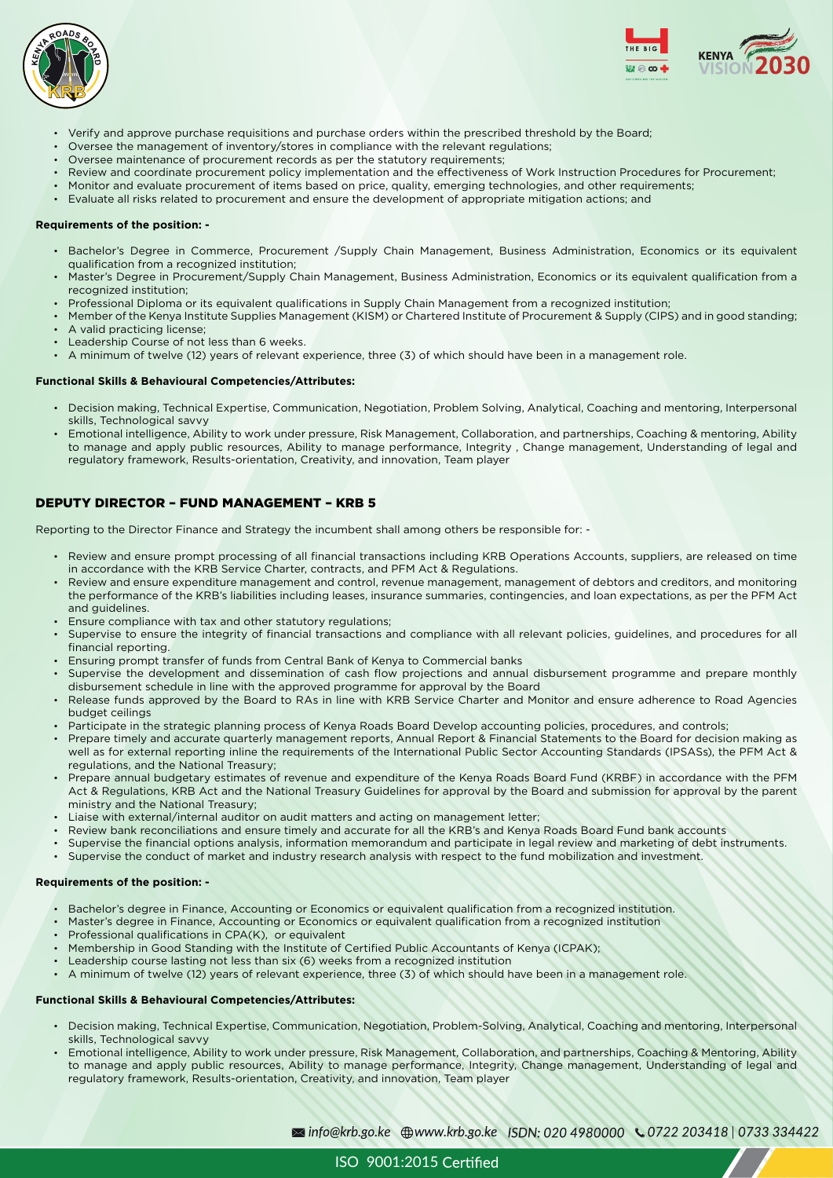



- Verify and approve purchase requisitions and purchase orders within the prescribed threshold by the Board;
- Oversee the management of inventory/stores in compliance with the relevant regulations;
- Oversee maintenance of procurement records as per the statutory requirements;
- Review and coordinate procurement policy implementation and the effectiveness of Work Instruction Procedures for Procurement;
- Monitor and evaluate procurement of items based on price, quality, emerging technologies, and other requirements;
- Evaluate all risks related to procurement and ensure the development of appropriate mitigation actions; and

#### **Requirements of the position: -**

- Bachelor's Degree in Commerce, Procurement /Supply Chain Management, Business Administration, Economics or its equivalent qualification from a recognized institution;
- Master's Degree in Procurement/Supply Chain Management, Business Administration, Economics or its equivalent qualification from a recognized institution;
- Professional Diploma or its equivalent qualifications in Supply Chain Management from a recognized institution;
- Member of the Kenya Institute Supplies Management (KISM) or Chartered Institute of Procurement & Supply (CIPS) and in good standing;
- A valid practicing license;
- Leadership Course of not less than 6 weeks.
- A minimum of twelve (12) years of relevant experience, three (3) of which should have been in a management role.

#### **Functional Skills & Behavioural Competencies/Attributes:**

- Decision making, Technical Expertise, Communication, Negotiation, Problem Solving, Analytical, Coaching and mentoring, Interpersonal skills, Technological savvy
- Emotional intelligence, Ability to work under pressure, Risk Management, Collaboration, and partnerships, Coaching & mentoring, Ability to manage and apply public resources, Ability to manage performance, Integrity , Change management, Understanding of legal and regulatory framework, Results-orientation, Creativity, and innovation, Team player

## DEPUTY DIRECTOR – FUND MANAGEMENT – KRB 5

Reporting to the Director Finance and Strategy the incumbent shall among others be responsible for: -

- Review and ensure prompt processing of all financial transactions including KRB Operations Accounts, suppliers, are released on time in accordance with the KRB Service Charter, contracts, and PFM Act & Regulations.
- Review and ensure expenditure management and control, revenue management, management of debtors and creditors, and monitoring the performance of the KRB's liabilities including leases, insurance summaries, contingencies, and loan expectations, as per the PFM Act and guidelines.
- Ensure compliance with tax and other statutory regulations;
- Supervise to ensure the integrity of financial transactions and compliance with all relevant policies, guidelines, and procedures for all financial reporting.
- Ensuring prompt transfer of funds from Central Bank of Kenya to Commercial banks
- Supervise the development and dissemination of cash flow projections and annual disbursement programme and prepare monthly disbursement schedule in line with the approved programme for approval by the Board
- Release funds approved by the Board to RAs in line with KRB Service Charter and Monitor and ensure adherence to Road Agencies budget ceilings
- Participate in the strategic planning process of Kenya Roads Board Develop accounting policies, procedures, and controls;
- Prepare timely and accurate quarterly management reports, Annual Report & Financial Statements to the Board for decision making as well as for external reporting inline the requirements of the International Public Sector Accounting Standards (IPSASs), the PFM Act & regulations, and the National Treasury;
- Prepare annual budgetary estimates of revenue and expenditure of the Kenya Roads Board Fund (KRBF) in accordance with the PFM Act & Regulations, KRB Act and the National Treasury Guidelines for approval by the Board and submission for approval by the parent ministry and the National Treasury;
- Liaise with external/internal auditor on audit matters and acting on management letter;
- Review bank reconciliations and ensure timely and accurate for all the KRB's and Kenya Roads Board Fund bank accounts
- Supervise the financial options analysis, information memorandum and participate in legal review and marketing of debt instruments.
- Supervise the conduct of market and industry research analysis with respect to the fund mobilization and investment.

#### **Requirements of the position: -**

- Bachelor's degree in Finance, Accounting or Economics or equivalent qualification from a recognized institution.
- Master's degree in Finance, Accounting or Economics or equivalent qualification from a recognized institution
- Professional qualifications in CPA(K), or equivalent
- Membership in Good Standing with the Institute of Certified Public Accountants of Kenya (ICPAK);
- Leadership course lasting not less than six (6) weeks from a recognized institution
- A minimum of twelve (12) years of relevant experience, three (3) of which should have been in a management role.

#### **Functional Skills & Behavioural Competencies/Attributes:**

- Decision making, Technical Expertise, Communication, Negotiation, Problem-Solving, Analytical, Coaching and mentoring, Interpersonal skills, Technological savvy
- Emotional intelligence, Ability to work under pressure, Risk Management, Collaboration, and partnerships, Coaching & Mentoring, Ability to manage and apply public resources, Ability to manage performance, Integrity, Change management, Understanding of legal and regulatory framework, Results-orientation, Creativity, and innovation, Team player

ISO 9001:2015 Certified